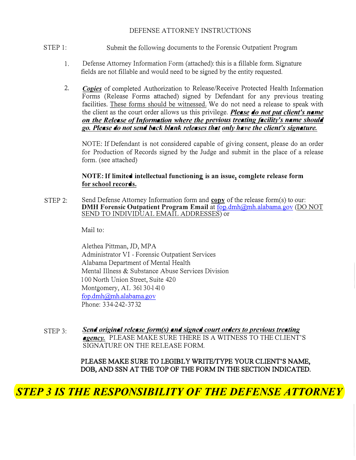### DEFENSE ATTORNEY INSTRUCTIONS

- STEP 1: Submit the following documents to the Forensic Outpatient Program
	- 1. Defense Attorney Information Form (attached): this is a fillable form. Signature fields are not fillable and would need to be signed by the entity requested.
	- 2. *Copies* of completed Authorization to Release/Receive Protected Health Information Forms (Release Forms attached) signed by Defendant for any previous treating facilities. These forms should be witnessed. We do not need a release to speak with the client as the court order allows us this privilege. *Please do not put client's name on the Release of Information where the previous treating facility's name should go. Please do not send back blank releases that only have the client's signature.*

NOTE: If Defendant is not considered capable of giving consent, please do an order for Production of Records signed by the Judge and submit in the place of a release form. (see attached)

### **NOTE: If limited intellectual functioning is an issue, complete release form for school records.**

STEP 2: Send Defense Attorney Information form and  $copy$  of the release form(s) to our:</u> **DMH Forensic Outpatient Program Email at fop.dmh@mh.alabama.gov (DO NOT** SEND TO INDIVIDUAL EMAIL ADDRESSES) or

Mail to:

Alethea Pittman, JD, MPA Administrator VI - Forensic Outpatient Services Alabama Department of Mental Health Mental Illness & Substance Abuse Services Division 100 North Union Street, Suite 420 Montgomery, AL 36130-1410 fop.dmh@mh.alabama.gov Phone: 334-242-3732

STEP 3: *Send original release form(s) and signed court orders to previous treating agency.* PLEASE MAKE SURE THERE IS A WITNESS TO THE CLIENT'S SIGNATURE ON THE RELEASE FORM.

# PLEASE MAKE SURE TO LEGIBLY WRITE/TYPE YOUR CLIENT'S NAME, DOB, AND SSN AT THE TOP OF THE FORM IN THE SECTION INDICATED.

# *STEP 3 IS THE RESPONSIBILITY OF THE DEFENSE ATTORNEY*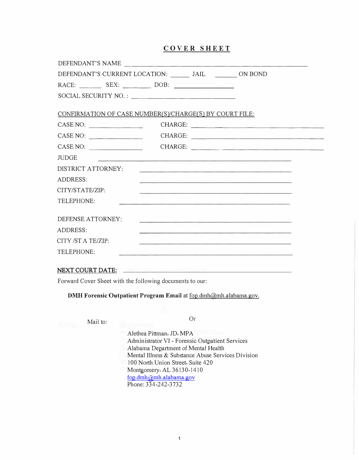### **COVER SHEET**

| DEFENDANT'S NAME                                              |  |                                                                                                                          |
|---------------------------------------------------------------|--|--------------------------------------------------------------------------------------------------------------------------|
| DEFENDANT'S CURRENT LOCATION: ________ JAIL _________ ON BOND |  |                                                                                                                          |
|                                                               |  |                                                                                                                          |
|                                                               |  |                                                                                                                          |
| CONFIRMATION OF CASE NUMBER(S)/CHARGE(S) BY COURT FILE:       |  |                                                                                                                          |
| CASE NO:                                                      |  |                                                                                                                          |
| CASE NO:                                                      |  |                                                                                                                          |
| CASE NO:                                                      |  | CHARGE:                                                                                                                  |
| <b>JUDGE</b>                                                  |  | <u> 1990 - An Angeles III, mengangkan pada saat di pada 2000 ang kalimang pada saat di pada saat di pada saat di</u>     |
| DISTRICT ATTORNEY:                                            |  | <u> 1990 - Jan Storman der Stein der Stein der Stein des Stein († 19</u>                                                 |
| <b>ADDRESS:</b>                                               |  |                                                                                                                          |
| CITY/STATE/ZIP:                                               |  | <u> 1989 - Andrea Stein, Amerikaansk politiker († 1908)</u>                                                              |
| TELEPHONE:                                                    |  | <u> 1980 - An Aonaichte ann an Aonaichte ann an Aonaichte ann an Aonaichte ann an Aonaichte ann an Aonaichte ann an </u> |
| DEFENSE ATTORNEY:                                             |  |                                                                                                                          |
| <b>ADDRESS:</b>                                               |  | <u> 1989 - Andrej Andrej Standard (d. 1989)</u>                                                                          |
| CITY/STATE/ZIP:                                               |  | and the control of the control of the control of the control of the control of the control of the control of the         |
| TELEPHONE:                                                    |  | s en la companya de la companya de la companya de la companya de la companya de la companya de la companya de            |
|                                                               |  |                                                                                                                          |

#### NEXT COURT DATE:

Forward Cover Sheet with the following documents to our:

**DMH Forensic Outpatient Program Email at fop.dmh@mh.alabama.gov.** 

Mail to: Or

Alethea Pittman, JD, MPA Administrator VI - Forensic Outpatient Services Alabama Department of Mental Health Mental Illness & Substance Abuse Services Division 100 North Union Street, Suite 420 Montgomery, AL 36130-1410 fop.dmh@mh.alabama.gov Phone: 334-242-3732

1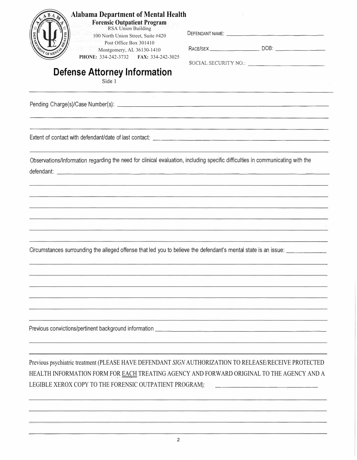| <b>Alabama Department of Mental Health</b><br><b>Forensic Outpatient Program</b><br>RSA Union Building<br>100 North Union Street, Suite #420<br>Post Office Box 301410<br>Montgomery, AL 36130-1410<br>PHONE: 334-242-3732 FAX: 334-242-3025<br><b>Defense Attorney Information</b><br>Side 1 | SOCIAL SECURITY NO.:                                                                                                   |
|-----------------------------------------------------------------------------------------------------------------------------------------------------------------------------------------------------------------------------------------------------------------------------------------------|------------------------------------------------------------------------------------------------------------------------|
|                                                                                                                                                                                                                                                                                               |                                                                                                                        |
|                                                                                                                                                                                                                                                                                               |                                                                                                                        |
| Observations/Information regarding the need for clinical evaluation, including specific difficulties in communicating with the                                                                                                                                                                | <u> 1989 - San San Andreas Ann an Aonaichte ann an 1980. Bha an t-an an t-an an t-an an t-an an t-an an t-an an t-</u> |
| Circumstances surrounding the alleged offense that led you to believe the defendant's mental state is an issue: ___________                                                                                                                                                                   |                                                                                                                        |
| Previous convictions/pertinent background information                                                                                                                                                                                                                                         | the contract of the contract of the con-                                                                               |
| Previous psychiatric treatment (PLEASE HAVE DEFENDANT SIGN AUTHORIZATION TO RELEASE/RECEIVE PROTECTED<br>HEALTH INFORMATION FORM FOR EACH TREATING AGENCY AND FORWARD ORIGINAL TO THE AGENCY AND A<br>LEGIBLE XEROX COPY TO THE FORENSIC OUTPATIENT PROGRAM);                                 |                                                                                                                        |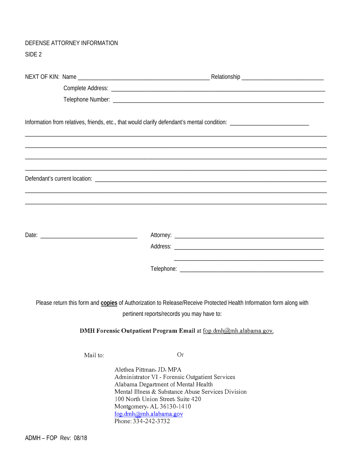# DEFENSE ATTORNEY INFORMATION SIDE 2

|          |                                                                                                                                                                                                                                       | Please return this form and copies of Authorization to Release/Receive Protected Health Information form along with |
|----------|---------------------------------------------------------------------------------------------------------------------------------------------------------------------------------------------------------------------------------------|---------------------------------------------------------------------------------------------------------------------|
|          | pertinent reports/records you may have to:                                                                                                                                                                                            |                                                                                                                     |
|          |                                                                                                                                                                                                                                       | DMH Forensic Outpatient Program Email at fop.dmh@mh.alabama.gov.                                                    |
| Mail to: |                                                                                                                                                                                                                                       | Or                                                                                                                  |
|          | Alethea Pittman, JD, MPA<br>Administrator VI - Forensic Outpatient Services<br>Alabama Department of Mental Health<br>100 North Union Street, Suite 420<br>Montgomery, AL 36130-1410<br>fop.dmh@mh.alabama.gov<br>Phone: 334-242-3732 | Mental Illness & Substance Abuse Services Division                                                                  |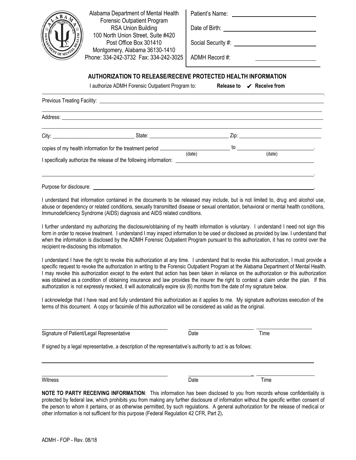

Alabama Department of Mental Health Forensic Outpatient Program RSA Union Building 100 North Union Street, Suite #420 Post Office Box 301410 Montgomery, Alabama 36130-1410 Phone: 334-242-3732 Fax: 334-242-3025

| Patient's Name: |  |
|-----------------|--|
|-----------------|--|

Date of Birth:

Social Security #:

ADMH Record #:

### **AUTHORIZATION TO RELEASE/RECEIVE PROTECTED HEALTH INFORMATION**

I authorize ADMH Forensic Outpatient Program to:

Release to ✔ Receive from

|                         |                                                                                                                                                                                                   |  | _ Zip: ________________________ |  |
|-------------------------|---------------------------------------------------------------------------------------------------------------------------------------------------------------------------------------------------|--|---------------------------------|--|
|                         | copies of my health information for the treatment period $\frac{1}{(date)}$ (date) (date)<br>I specifically authorize the release of the following information: _________________________________ |  |                                 |  |
| Purpose for disclosure: |                                                                                                                                                                                                   |  |                                 |  |

I understand that information contained in the documents to be released may include, but is not limited to, drug and alcohol use, abuse or dependency or related conditions, sexually transmitted disease or sexual orientation, behavioral or mental health conditions, Immunodeficiency Syndrome (AIDS) diagnosis and AIDS related conditions.

I further understand my authorizing the disclosure/obtaining of my health information is voluntary. I understand I need not sign this form in order to receive treatment. I understand I may inspect information to be used or disclosed as provided by law. I understand that when the information is disclosed by the ADMH Forensic Outpatient Program pursuant to this authorization, it has no control over the recipient re-disclosing this information.

I understand I have the right to revoke this authorization at any time. I understand that to revoke this authorization, I must provide a specific request to revoke the authorization in writing to the Forensic Outpatient Program at the Alabama Department of Mental Health. I may revoke this authorization except to the extent that action has been taken in reliance on the authorization or this authorization was obtained as a condition of obtaining insurance and law provides the insurer the right to contest a claim under the plan. If this authorization is not expressly revoked, it will automatically expire six (6) months from the date of my signature below.

I acknowledge that I have read and fully understand this authorization as it applies to me. My signature authorizes execution of the terms of this document. A copy or facsimile of this authorization will be considered as valid as the original.

| Signature of Patient/Legal Representative                                                                  | Date | Time |  |
|------------------------------------------------------------------------------------------------------------|------|------|--|
| If signed by a legal representative, a description of the representative's authority to act is as follows: |      |      |  |
|                                                                                                            |      |      |  |
|                                                                                                            |      |      |  |

Witness **Example 2** and the Company of the Company of the Date Company of the Time

**NOTE TO PARTY RECEIVING INFORMATION**: This information has been disclosed to you from records whose confidentiality is protected by federal law, which prohibits you from making any further disclosure of information without the specific written consent of the person to whom it pertains, or as otherwise permitted, by such regulations. A general authorization for the release of medical or other information is not sufficient for this purpose (Federal Regulation 42 CFR, Part 2)**.**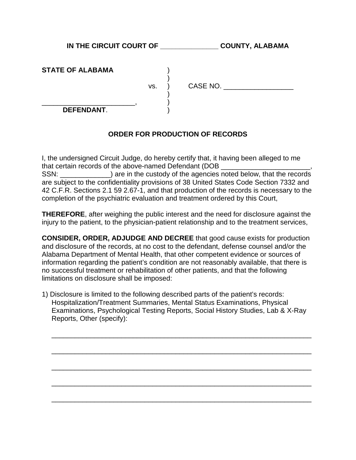IN THE CIRCUIT COURT OF **COUNTY, ALABAMA** 

| <b>STATE OF ALABAMA</b> |  |
|-------------------------|--|
|                         |  |

vs. ) CASE NO. \_\_\_\_\_\_\_\_\_\_\_\_\_\_\_\_\_\_

\_\_\_\_\_\_\_\_\_\_\_\_\_\_\_\_\_\_\_\_\_\_\_\_, ) **DEFENDANT**. )

# **ORDER FOR PRODUCTION OF RECORDS**

)

)

I, the undersigned Circuit Judge, do hereby certify that, it having been alleged to me that certain records of the above-named Defendant (DOB \_\_\_\_\_\_\_\_\_\_\_\_\_\_\_\_\_\_\_\_\_\_\_, SSN:  $\blacksquare$  are in the custody of the agencies noted below, that the records are subject to the confidentiality provisions of 38 United States Code Section 7332 and 42 C.F.R. Sections 2.1 59 2.67-1, and that production of the records is necessary to the completion of the psychiatric evaluation and treatment ordered by this Court,

**THEREFORE**, after weighing the public interest and the need for disclosure against the injury to the patient, to the physician-patient relationship and to the treatment services,

**CONSIDER, ORDER, ADJUDGE AND DECREE** that good cause exists for production and disclosure of the records, at no cost to the defendant, defense counsel and/or the Alabama Department of Mental Health, that other competent evidence or sources of information regarding the patient's condition are not reasonably available, that there is no successful treatment or rehabilitation of other patients, and that the following limitations on disclosure shall be imposed:

1) Disclosure is limited to the following described parts of the patient's records: Hospitalization/Treatment Summaries, Mental Status Examinations, Physical Examinations, Psychological Testing Reports, Social History Studies, Lab & X-Ray Reports, Other (specify):

 $\overline{\phantom{a}}$  , and the contract of the contract of the contract of the contract of the contract of the contract of the contract of the contract of the contract of the contract of the contract of the contract of the contrac

 $\overline{\phantom{a}}$  , and the contract of the contract of the contract of the contract of the contract of the contract of the contract of the contract of the contract of the contract of the contract of the contract of the contrac

 $\overline{\phantom{a}}$  , and the contract of the contract of the contract of the contract of the contract of the contract of the contract of the contract of the contract of the contract of the contract of the contract of the contrac

 $\overline{\phantom{a}}$  , and the contract of the contract of the contract of the contract of the contract of the contract of the contract of the contract of the contract of the contract of the contract of the contract of the contrac

 $\overline{\phantom{a}}$  , and the contract of the contract of the contract of the contract of the contract of the contract of the contract of the contract of the contract of the contract of the contract of the contract of the contrac